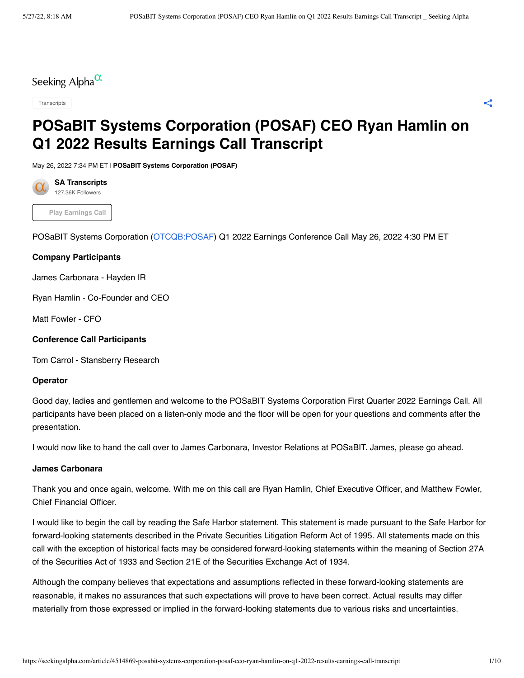Seeking Alpha $\alpha$ 

[Transcripts](https://seekingalpha.com/earnings/earnings-call-transcripts?source=content_type%3Areact%7Csection%3Amain_content%7Csection_asset%3Athemes%7Cbutton%3Atranscripts%7Cfirst_level_url%3Aarticle)

# **POSaBIT Systems Corporation (POSAF) CEO Ryan Hamlin on Q1 2022 Results Earnings Call Transcript**

May 26, 2022 7:34 PM ET | **[POSaBIT Systems Corporation \(POSAF\)](https://seekingalpha.com/symbol/POSAF?source=content_type%3Areact%7Csection%3Amain_content%7Csection_asset%3Ameta%7Cfirst_level_url%3Aarticle%7Csymbol%3APOSAF)**



**Play Earnings Call**

POSaBIT Systems Corporation [\(OTCQB:POSAF\)](https://seekingalpha.com/symbol/POSAF?source=content_type%3Areact%7Csection%3Amain_content%7Cbutton%3Abody_link) Q1 2022 Earnings Conference Call May 26, 2022 4:30 PM ET

# **Company Participants**

James Carbonara - Hayden IR

Ryan Hamlin - Co-Founder and CEO

Matt Fowler - CFO

# **Conference Call Participants**

Tom Carrol - Stansberry Research

# **Operator**

Good day, ladies and gentlemen and welcome to the POSaBIT Systems Corporation First Quarter 2022 Earnings Call. All participants have been placed on a listen-only mode and the floor will be open for your questions and comments after the presentation.

I would now like to hand the call over to James Carbonara, Investor Relations at POSaBIT. James, please go ahead.

### **James Carbonara**

Thank you and once again, welcome. With me on this call are Ryan Hamlin, Chief Executive Officer, and Matthew Fowler, Chief Financial Officer.

I would like to begin the call by reading the Safe Harbor statement. This statement is made pursuant to the Safe Harbor for forward-looking statements described in the Private Securities Litigation Reform Act of 1995. All statements made on this call with the exception of historical facts may be considered forward-looking statements within the meaning of Section 27A of the Securities Act of 1933 and Section 21E of the Securities Exchange Act of 1934.

Although the company believes that expectations and assumptions reflected in these forward-looking statements are reasonable, it makes no assurances that such expectations will prove to have been correct. Actual results may differ materially from those expressed or implied in the forward-looking statements due to various risks and uncertainties.

 $\lt^{\bullet}$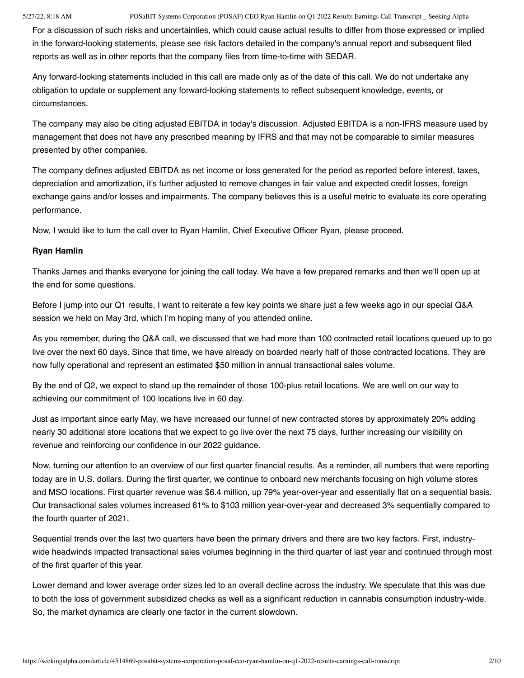For a discussion of such risks and uncertainties, which could cause actual results to differ from those expressed or implied in the forward-looking statements, please see risk factors detailed in the company's annual report and subsequent filed reports as well as in other reports that the company files from time-to-time with SEDAR.

Any forward-looking statements included in this call are made only as of the date of this call. We do not undertake any obligation to update or supplement any forward-looking statements to reflect subsequent knowledge, events, or circumstances.

The company may also be citing adjusted EBITDA in today's discussion. Adjusted EBITDA is a non-IFRS measure used by management that does not have any prescribed meaning by IFRS and that may not be comparable to similar measures presented by other companies.

The company defines adjusted EBITDA as net income or loss generated for the period as reported before interest, taxes, depreciation and amortization, it's further adjusted to remove changes in fair value and expected credit losses, foreign exchange gains and/or losses and impairments. The company believes this is a useful metric to evaluate its core operating performance.

Now, I would like to turn the call over to Ryan Hamlin, Chief Executive Officer Ryan, please proceed.

# **Ryan Hamlin**

Thanks James and thanks everyone for joining the call today. We have a few prepared remarks and then we'll open up at the end for some questions.

Before I jump into our Q1 results, I want to reiterate a few key points we share just a few weeks ago in our special Q&A session we held on May 3rd, which I'm hoping many of you attended online.

As you remember, during the Q&A call, we discussed that we had more than 100 contracted retail locations queued up to go live over the next 60 days. Since that time, we have already on boarded nearly half of those contracted locations. They are now fully operational and represent an estimated \$50 million in annual transactional sales volume.

By the end of Q2, we expect to stand up the remainder of those 100-plus retail locations. We are well on our way to achieving our commitment of 100 locations live in 60 day.

Just as important since early May, we have increased our funnel of new contracted stores by approximately 20% adding nearly 30 additional store locations that we expect to go live over the next 75 days, further increasing our visibility on revenue and reinforcing our confidence in our 2022 guidance.

Now, turning our attention to an overview of our first quarter financial results. As a reminder, all numbers that were reporting today are in U.S. dollars. During the first quarter, we continue to onboard new merchants focusing on high volume stores and MSO locations. First quarter revenue was \$6.4 million, up 79% year-over-year and essentially flat on a sequential basis. Our transactional sales volumes increased 61% to \$103 million year-over-year and decreased 3% sequentially compared to the fourth quarter of 2021.

Sequential trends over the last two quarters have been the primary drivers and there are two key factors. First, industrywide headwinds impacted transactional sales volumes beginning in the third quarter of last year and continued through most of the first quarter of this year.

Lower demand and lower average order sizes led to an overall decline across the industry. We speculate that this was due to both the loss of government subsidized checks as well as a significant reduction in cannabis consumption industry-wide. So, the market dynamics are clearly one factor in the current slowdown.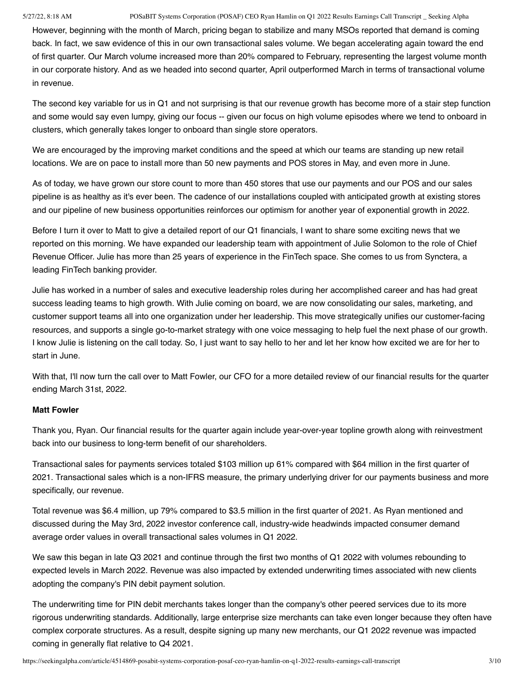However, beginning with the month of March, pricing began to stabilize and many MSOs reported that demand is coming back. In fact, we saw evidence of this in our own transactional sales volume. We began accelerating again toward the end of first quarter. Our March volume increased more than 20% compared to February, representing the largest volume month in our corporate history. And as we headed into second quarter, April outperformed March in terms of transactional volume in revenue.

The second key variable for us in Q1 and not surprising is that our revenue growth has become more of a stair step function and some would say even lumpy, giving our focus -- given our focus on high volume episodes where we tend to onboard in clusters, which generally takes longer to onboard than single store operators.

We are encouraged by the improving market conditions and the speed at which our teams are standing up new retail locations. We are on pace to install more than 50 new payments and POS stores in May, and even more in June.

As of today, we have grown our store count to more than 450 stores that use our payments and our POS and our sales pipeline is as healthy as it's ever been. The cadence of our installations coupled with anticipated growth at existing stores and our pipeline of new business opportunities reinforces our optimism for another year of exponential growth in 2022.

Before I turn it over to Matt to give a detailed report of our Q1 financials, I want to share some exciting news that we reported on this morning. We have expanded our leadership team with appointment of Julie Solomon to the role of Chief Revenue Officer. Julie has more than 25 years of experience in the FinTech space. She comes to us from Synctera, a leading FinTech banking provider.

Julie has worked in a number of sales and executive leadership roles during her accomplished career and has had great success leading teams to high growth. With Julie coming on board, we are now consolidating our sales, marketing, and customer support teams all into one organization under her leadership. This move strategically unifies our customer-facing resources, and supports a single go-to-market strategy with one voice messaging to help fuel the next phase of our growth. I know Julie is listening on the call today. So, I just want to say hello to her and let her know how excited we are for her to start in June.

With that, I'll now turn the call over to Matt Fowler, our CFO for a more detailed review of our financial results for the quarter ending March 31st, 2022.

# **Matt Fowler**

Thank you, Ryan. Our financial results for the quarter again include year-over-year topline growth along with reinvestment back into our business to long-term benefit of our shareholders.

Transactional sales for payments services totaled \$103 million up 61% compared with \$64 million in the first quarter of 2021. Transactional sales which is a non-IFRS measure, the primary underlying driver for our payments business and more specifically, our revenue.

Total revenue was \$6.4 million, up 79% compared to \$3.5 million in the first quarter of 2021. As Ryan mentioned and discussed during the May 3rd, 2022 investor conference call, industry-wide headwinds impacted consumer demand average order values in overall transactional sales volumes in Q1 2022.

We saw this began in late Q3 2021 and continue through the first two months of Q1 2022 with volumes rebounding to expected levels in March 2022. Revenue was also impacted by extended underwriting times associated with new clients adopting the company's PIN debit payment solution.

The underwriting time for PIN debit merchants takes longer than the company's other peered services due to its more rigorous underwriting standards. Additionally, large enterprise size merchants can take even longer because they often have complex corporate structures. As a result, despite signing up many new merchants, our Q1 2022 revenue was impacted coming in generally flat relative to Q4 2021.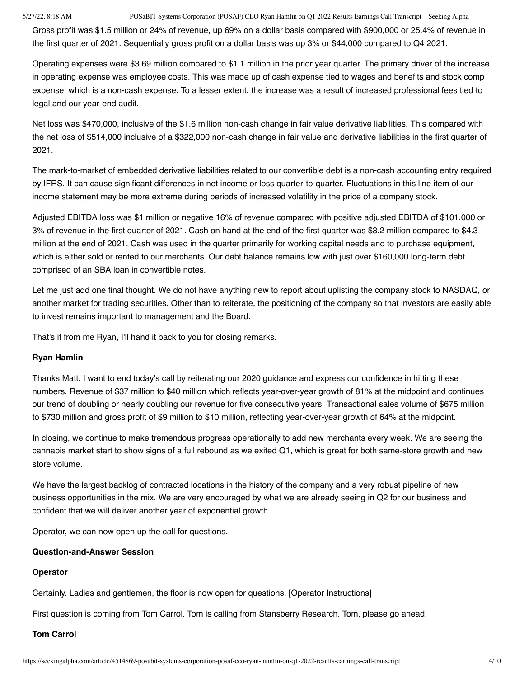Gross profit was \$1.5 million or 24% of revenue, up 69% on a dollar basis compared with \$900,000 or 25.4% of revenue in the first quarter of 2021. Sequentially gross profit on a dollar basis was up 3% or \$44,000 compared to Q4 2021.

Operating expenses were \$3.69 million compared to \$1.1 million in the prior year quarter. The primary driver of the increase in operating expense was employee costs. This was made up of cash expense tied to wages and benefits and stock comp expense, which is a non-cash expense. To a lesser extent, the increase was a result of increased professional fees tied to legal and our year-end audit.

Net loss was \$470,000, inclusive of the \$1.6 million non-cash change in fair value derivative liabilities. This compared with the net loss of \$514,000 inclusive of a \$322,000 non-cash change in fair value and derivative liabilities in the first quarter of 2021.

The mark-to-market of embedded derivative liabilities related to our convertible debt is a non-cash accounting entry required by IFRS. It can cause significant differences in net income or loss quarter-to-quarter. Fluctuations in this line item of our income statement may be more extreme during periods of increased volatility in the price of a company stock.

Adjusted EBITDA loss was \$1 million or negative 16% of revenue compared with positive adjusted EBITDA of \$101,000 or 3% of revenue in the first quarter of 2021. Cash on hand at the end of the first quarter was \$3.2 million compared to \$4.3 million at the end of 2021. Cash was used in the quarter primarily for working capital needs and to purchase equipment, which is either sold or rented to our merchants. Our debt balance remains low with just over \$160,000 long-term debt comprised of an SBA loan in convertible notes.

Let me just add one final thought. We do not have anything new to report about uplisting the company stock to NASDAQ, or another market for trading securities. Other than to reiterate, the positioning of the company so that investors are easily able to invest remains important to management and the Board.

That's it from me Ryan, I'll hand it back to you for closing remarks.

# **Ryan Hamlin**

Thanks Matt. I want to end today's call by reiterating our 2020 guidance and express our confidence in hitting these numbers. Revenue of \$37 million to \$40 million which reflects year-over-year growth of 81% at the midpoint and continues our trend of doubling or nearly doubling our revenue for five consecutive years. Transactional sales volume of \$675 million to \$730 million and gross profit of \$9 million to \$10 million, reflecting year-over-year growth of 64% at the midpoint.

In closing, we continue to make tremendous progress operationally to add new merchants every week. We are seeing the cannabis market start to show signs of a full rebound as we exited Q1, which is great for both same-store growth and new store volume.

We have the largest backlog of contracted locations in the history of the company and a very robust pipeline of new business opportunities in the mix. We are very encouraged by what we are already seeing in Q2 for our business and confident that we will deliver another year of exponential growth.

Operator, we can now open up the call for questions.

# **Question-and-Answer Session**

# **Operator**

Certainly. Ladies and gentlemen, the floor is now open for questions. [Operator Instructions]

First question is coming from Tom Carrol. Tom is calling from Stansberry Research. Tom, please go ahead.

# **Tom Carrol**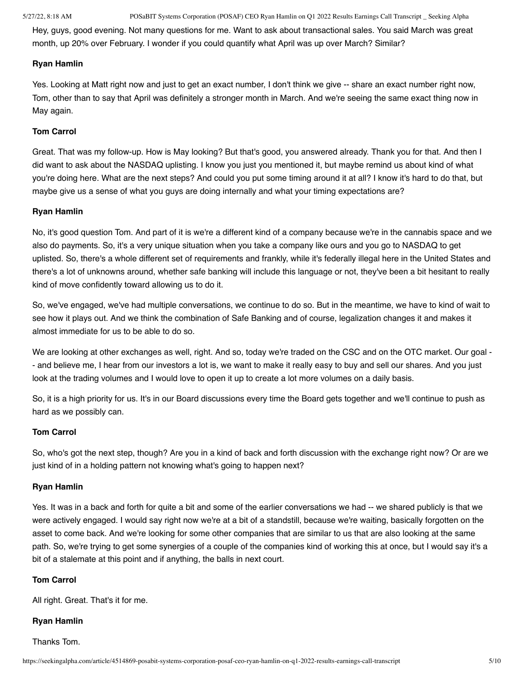Hey, guys, good evening. Not many questions for me. Want to ask about transactional sales. You said March was great month, up 20% over February. I wonder if you could quantify what April was up over March? Similar?

#### **Ryan Hamlin**

Yes. Looking at Matt right now and just to get an exact number, I don't think we give -- share an exact number right now, Tom, other than to say that April was definitely a stronger month in March. And we're seeing the same exact thing now in May again.

### **Tom Carrol**

Great. That was my follow-up. How is May looking? But that's good, you answered already. Thank you for that. And then I did want to ask about the NASDAQ uplisting. I know you just you mentioned it, but maybe remind us about kind of what you're doing here. What are the next steps? And could you put some timing around it at all? I know it's hard to do that, but maybe give us a sense of what you guys are doing internally and what your timing expectations are?

# **Ryan Hamlin**

No, it's good question Tom. And part of it is we're a different kind of a company because we're in the cannabis space and we also do payments. So, it's a very unique situation when you take a company like ours and you go to NASDAQ to get uplisted. So, there's a whole different set of requirements and frankly, while it's federally illegal here in the United States and there's a lot of unknowns around, whether safe banking will include this language or not, they've been a bit hesitant to really kind of move confidently toward allowing us to do it.

So, we've engaged, we've had multiple conversations, we continue to do so. But in the meantime, we have to kind of wait to see how it plays out. And we think the combination of Safe Banking and of course, legalization changes it and makes it almost immediate for us to be able to do so.

We are looking at other exchanges as well, right. And so, today we're traded on the CSC and on the OTC market. Our goal - - and believe me, I hear from our investors a lot is, we want to make it really easy to buy and sell our shares. And you just look at the trading volumes and I would love to open it up to create a lot more volumes on a daily basis.

So, it is a high priority for us. It's in our Board discussions every time the Board gets together and we'll continue to push as hard as we possibly can.

# **Tom Carrol**

So, who's got the next step, though? Are you in a kind of back and forth discussion with the exchange right now? Or are we just kind of in a holding pattern not knowing what's going to happen next?

#### **Ryan Hamlin**

Yes. It was in a back and forth for quite a bit and some of the earlier conversations we had -- we shared publicly is that we were actively engaged. I would say right now we're at a bit of a standstill, because we're waiting, basically forgotten on the asset to come back. And we're looking for some other companies that are similar to us that are also looking at the same path. So, we're trying to get some synergies of a couple of the companies kind of working this at once, but I would say it's a bit of a stalemate at this point and if anything, the balls in next court.

### **Tom Carrol**

All right. Great. That's it for me.

#### **Ryan Hamlin**

Thanks Tom.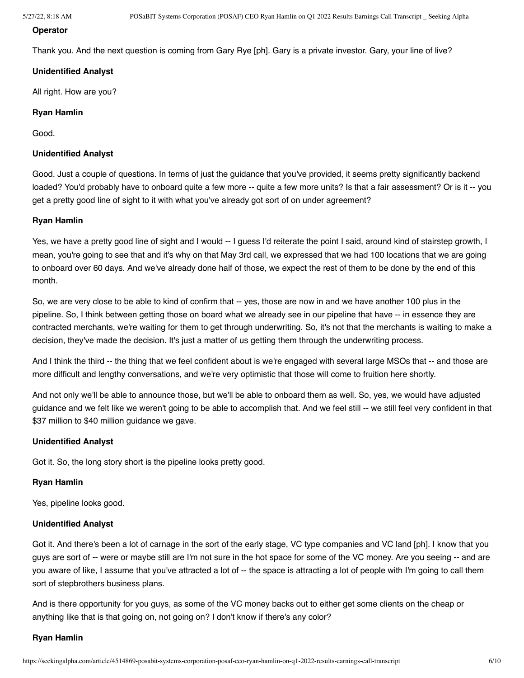### **Operator**

Thank you. And the next question is coming from Gary Rye [ph]. Gary is a private investor. Gary, your line of live?

# **Unidentified Analyst**

All right. How are you?

# **Ryan Hamlin**

Good.

# **Unidentified Analyst**

Good. Just a couple of questions. In terms of just the guidance that you've provided, it seems pretty significantly backend loaded? You'd probably have to onboard quite a few more -- quite a few more units? Is that a fair assessment? Or is it -- you get a pretty good line of sight to it with what you've already got sort of on under agreement?

### **Ryan Hamlin**

Yes, we have a pretty good line of sight and I would -- I guess I'd reiterate the point I said, around kind of stairstep growth, I mean, you're going to see that and it's why on that May 3rd call, we expressed that we had 100 locations that we are going to onboard over 60 days. And we've already done half of those, we expect the rest of them to be done by the end of this month.

So, we are very close to be able to kind of confirm that -- yes, those are now in and we have another 100 plus in the pipeline. So, I think between getting those on board what we already see in our pipeline that have -- in essence they are contracted merchants, we're waiting for them to get through underwriting. So, it's not that the merchants is waiting to make a decision, they've made the decision. It's just a matter of us getting them through the underwriting process.

And I think the third -- the thing that we feel confident about is we're engaged with several large MSOs that -- and those are more difficult and lengthy conversations, and we're very optimistic that those will come to fruition here shortly.

And not only we'll be able to announce those, but we'll be able to onboard them as well. So, yes, we would have adjusted guidance and we felt like we weren't going to be able to accomplish that. And we feel still -- we still feel very confident in that \$37 million to \$40 million quidance we gave.

### **Unidentified Analyst**

Got it. So, the long story short is the pipeline looks pretty good.

### **Ryan Hamlin**

Yes, pipeline looks good.

### **Unidentified Analyst**

Got it. And there's been a lot of carnage in the sort of the early stage, VC type companies and VC land [ph]. I know that you guys are sort of -- were or maybe still are I'm not sure in the hot space for some of the VC money. Are you seeing -- and are you aware of like, I assume that you've attracted a lot of -- the space is attracting a lot of people with I'm going to call them sort of stepbrothers business plans.

And is there opportunity for you guys, as some of the VC money backs out to either get some clients on the cheap or anything like that is that going on, not going on? I don't know if there's any color?

### **Ryan Hamlin**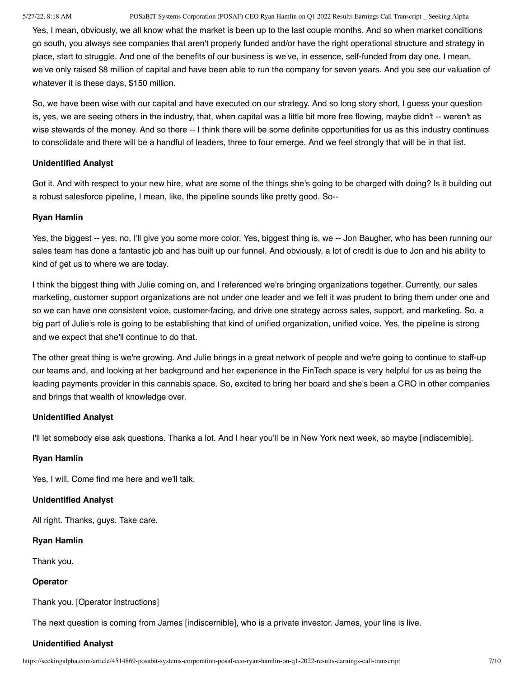Yes, I mean, obviously, we all know what the market is been up to the last couple months. And so when market conditions go south, you always see companies that aren't properly funded and/or have the right operational structure and strategy in place, start to struggle. And one of the benefits of our business is we've, in essence, self-funded from day one. I mean, we've only raised \$8 million of capital and have been able to run the company for seven years. And you see our valuation of whatever it is these days, \$150 million.

So, we have been wise with our capital and have executed on our strategy. And so long story short, I guess your question is, yes, we are seeing others in the industry, that, when capital was a little bit more free flowing, maybe didn't -- weren't as wise stewards of the money. And so there -- I think there will be some definite opportunities for us as this industry continues to consolidate and there will be a handful of leaders, three to four emerge. And we feel strongly that will be in that list.

# **Unidentified Analyst**

Got it. And with respect to your new hire, what are some of the things she's going to be charged with doing? Is it building out a robust salesforce pipeline, I mean, like, the pipeline sounds like pretty good. So--

### **Ryan Hamlin**

Yes, the biggest -- yes, no, I'll give you some more color. Yes, biggest thing is, we -- Jon Baugher, who has been running our sales team has done a fantastic job and has built up our funnel. And obviously, a lot of credit is due to Jon and his ability to kind of get us to where we are today.

I think the biggest thing with Julie coming on, and I referenced we're bringing organizations together. Currently, our sales marketing, customer support organizations are not under one leader and we felt it was prudent to bring them under one and so we can have one consistent voice, customer-facing, and drive one strategy across sales, support, and marketing. So, a big part of Julie's role is going to be establishing that kind of unified organization, unified voice. Yes, the pipeline is strong and we expect that she'll continue to do that.

The other great thing is we're growing. And Julie brings in a great network of people and we're going to continue to staff-up our teams and, and looking at her background and her experience in the FinTech space is very helpful for us as being the leading payments provider in this cannabis space. So, excited to bring her board and she's been a CRO in other companies and brings that wealth of knowledge over.

# **Unidentified Analyst**

I'll let somebody else ask questions. Thanks a lot. And I hear you'll be in New York next week, so maybe [indiscernible].

# **Ryan Hamlin**

Yes, I will. Come find me here and we'll talk.

# **Unidentified Analyst**

All right. Thanks, guys. Take care.

# **Ryan Hamlin**

Thank you.

# **Operator**

Thank you. [Operator Instructions]

The next question is coming from James [indiscernible], who is a private investor. James, your line is live.

# **Unidentified Analyst**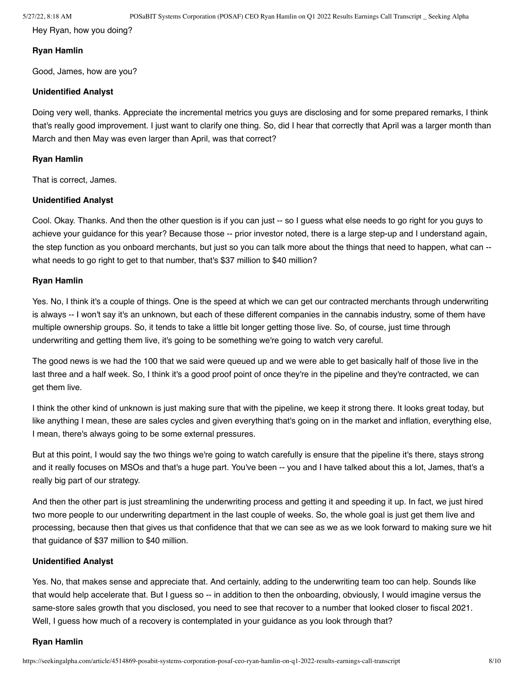Hey Ryan, how you doing?

### **Ryan Hamlin**

Good, James, how are you?

### **Unidentified Analyst**

Doing very well, thanks. Appreciate the incremental metrics you guys are disclosing and for some prepared remarks, I think that's really good improvement. I just want to clarify one thing. So, did I hear that correctly that April was a larger month than March and then May was even larger than April, was that correct?

### **Ryan Hamlin**

That is correct, James.

### **Unidentified Analyst**

Cool. Okay. Thanks. And then the other question is if you can just -- so I guess what else needs to go right for you guys to achieve your guidance for this year? Because those -- prior investor noted, there is a large step-up and I understand again, the step function as you onboard merchants, but just so you can talk more about the things that need to happen, what can - what needs to go right to get to that number, that's \$37 million to \$40 million?

### **Ryan Hamlin**

Yes. No, I think it's a couple of things. One is the speed at which we can get our contracted merchants through underwriting is always -- I won't say it's an unknown, but each of these different companies in the cannabis industry, some of them have multiple ownership groups. So, it tends to take a little bit longer getting those live. So, of course, just time through underwriting and getting them live, it's going to be something we're going to watch very careful.

The good news is we had the 100 that we said were queued up and we were able to get basically half of those live in the last three and a half week. So, I think it's a good proof point of once they're in the pipeline and they're contracted, we can get them live.

I think the other kind of unknown is just making sure that with the pipeline, we keep it strong there. It looks great today, but like anything I mean, these are sales cycles and given everything that's going on in the market and inflation, everything else, I mean, there's always going to be some external pressures.

But at this point, I would say the two things we're going to watch carefully is ensure that the pipeline it's there, stays strong and it really focuses on MSOs and that's a huge part. You've been -- you and I have talked about this a lot, James, that's a really big part of our strategy.

And then the other part is just streamlining the underwriting process and getting it and speeding it up. In fact, we just hired two more people to our underwriting department in the last couple of weeks. So, the whole goal is just get them live and processing, because then that gives us that confidence that that we can see as we as we look forward to making sure we hit that guidance of \$37 million to \$40 million.

# **Unidentified Analyst**

Yes. No, that makes sense and appreciate that. And certainly, adding to the underwriting team too can help. Sounds like that would help accelerate that. But I guess so -- in addition to then the onboarding, obviously, I would imagine versus the same-store sales growth that you disclosed, you need to see that recover to a number that looked closer to fiscal 2021. Well, I guess how much of a recovery is contemplated in your guidance as you look through that?

### **Ryan Hamlin**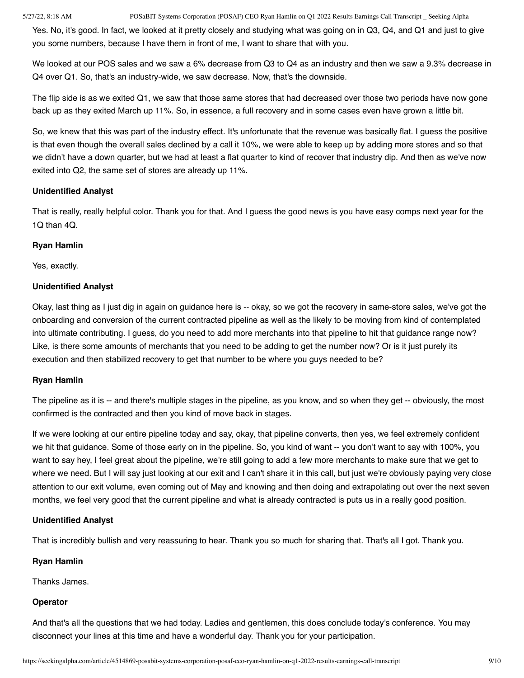Yes. No, it's good. In fact, we looked at it pretty closely and studying what was going on in Q3, Q4, and Q1 and just to give you some numbers, because I have them in front of me, I want to share that with you.

We looked at our POS sales and we saw a 6% decrease from Q3 to Q4 as an industry and then we saw a 9.3% decrease in Q4 over Q1. So, that's an industry-wide, we saw decrease. Now, that's the downside.

The flip side is as we exited Q1, we saw that those same stores that had decreased over those two periods have now gone back up as they exited March up 11%. So, in essence, a full recovery and in some cases even have grown a little bit.

So, we knew that this was part of the industry effect. It's unfortunate that the revenue was basically flat. I guess the positive is that even though the overall sales declined by a call it 10%, we were able to keep up by adding more stores and so that we didn't have a down quarter, but we had at least a flat quarter to kind of recover that industry dip. And then as we've now exited into Q2, the same set of stores are already up 11%.

# **Unidentified Analyst**

That is really, really helpful color. Thank you for that. And I guess the good news is you have easy comps next year for the 1Q than 4Q.

# **Ryan Hamlin**

Yes, exactly.

# **Unidentified Analyst**

Okay, last thing as I just dig in again on guidance here is -- okay, so we got the recovery in same-store sales, we've got the onboarding and conversion of the current contracted pipeline as well as the likely to be moving from kind of contemplated into ultimate contributing. I guess, do you need to add more merchants into that pipeline to hit that guidance range now? Like, is there some amounts of merchants that you need to be adding to get the number now? Or is it just purely its execution and then stabilized recovery to get that number to be where you guys needed to be?

# **Ryan Hamlin**

The pipeline as it is -- and there's multiple stages in the pipeline, as you know, and so when they get -- obviously, the most confirmed is the contracted and then you kind of move back in stages.

If we were looking at our entire pipeline today and say, okay, that pipeline converts, then yes, we feel extremely confident we hit that guidance. Some of those early on in the pipeline. So, you kind of want -- you don't want to say with 100%, you want to say hey, I feel great about the pipeline, we're still going to add a few more merchants to make sure that we get to where we need. But I will say just looking at our exit and I can't share it in this call, but just we're obviously paying very close attention to our exit volume, even coming out of May and knowing and then doing and extrapolating out over the next seven months, we feel very good that the current pipeline and what is already contracted is puts us in a really good position.

# **Unidentified Analyst**

That is incredibly bullish and very reassuring to hear. Thank you so much for sharing that. That's all I got. Thank you.

# **Ryan Hamlin**

Thanks James.

# **Operator**

And that's all the questions that we had today. Ladies and gentlemen, this does conclude today's conference. You may disconnect your lines at this time and have a wonderful day. Thank you for your participation.